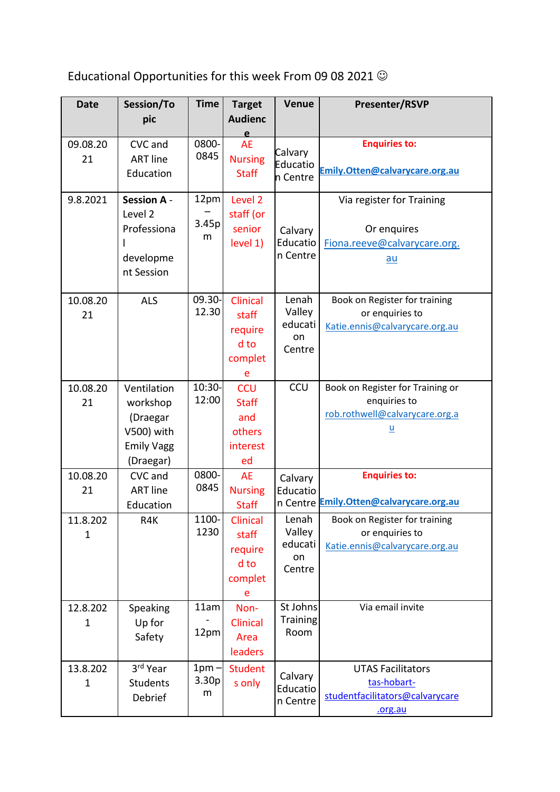Educational Opportunities for this week From 09 08 2021

| <b>Date</b>              | Session/To<br>pic                                                                   | <b>Time</b>                               | <b>Target</b><br><b>Audienc</b><br>$\mathbf{e}$               | Venue                                      | <b>Presenter/RSVP</b>                                                                                          |
|--------------------------|-------------------------------------------------------------------------------------|-------------------------------------------|---------------------------------------------------------------|--------------------------------------------|----------------------------------------------------------------------------------------------------------------|
| 09.08.20<br>21           | CVC and<br><b>ART line</b><br>Education                                             | 0800-<br>0845                             | <b>AE</b><br><b>Nursing</b><br><b>Staff</b>                   | Calvary<br>Educatio<br>n Centre            | <b>Enquiries to:</b><br>Emily.Otten@calvarycare.org.au                                                         |
| 9.8.2021                 | <b>Session A -</b><br>Level <sub>2</sub><br>Professiona<br>developme<br>nt Session  | 12pm<br>3.45p<br>m                        | Level <sub>2</sub><br>staff (or<br>senior<br>level 1)         | Calvary<br>Educatio<br>n Centre            | Via register for Training<br>Or enquires<br>Fiona.reeve@calvarycare.org.<br>$au$                               |
| 10.08.20<br>21           | <b>ALS</b>                                                                          | 09.30-<br>12.30                           | Clinical<br>staff<br>require<br>d to<br>complet<br>e          | Lenah<br>Valley<br>educati<br>on<br>Centre | Book on Register for training<br>or enquiries to<br>Katie.ennis@calvarycare.org.au                             |
| 10.08.20<br>21           | Ventilation<br>workshop<br>(Draegar<br>V500) with<br><b>Emily Vagg</b><br>(Draegar) | 10:30-<br>12:00                           | <b>CCU</b><br><b>Staff</b><br>and<br>others<br>interest<br>ed | <b>CCU</b>                                 | Book on Register for Training or<br>enquiries to<br>rob.rothwell@calvarycare.org.a<br>$\underline{\mathsf{u}}$ |
| 10.08.20<br>21           | CVC and<br><b>ART line</b><br>Education                                             | 0800-<br>0845                             | <b>AE</b><br><b>Nursing</b><br><b>Staff</b>                   | Calvary<br>Educatio                        | <b>Enquiries to:</b><br>n Centre Emily. Otten@calvarycare.org.au                                               |
| 11.8.202<br>1            | R4K                                                                                 | 1100-<br>1230                             | Clinical<br>staff<br>require<br>d to<br>complet<br>e          | Lenah<br>Valley<br>educati<br>on<br>Centre | Book on Register for training<br>or enquiries to<br>Katie.ennis@calvarycare.org.au                             |
| 12.8.202<br>1            | Speaking<br>Up for<br>Safety                                                        | 11am<br>12pm                              | Non-<br><b>Clinical</b><br>Area<br>leaders                    | St Johns<br>Training<br>Room               | Via email invite                                                                                               |
| 13.8.202<br>$\mathbf{1}$ | 3 <sup>rd</sup> Year<br><b>Students</b><br>Debrief                                  | 1 <sub>pm</sub><br>3.30 <sub>p</sub><br>m | Student<br>s only                                             | Calvary<br>Educatio<br>n Centre            | <b>UTAS Facilitators</b><br>tas-hobart-<br>studentfacilitators@calvarycare<br>.org.au                          |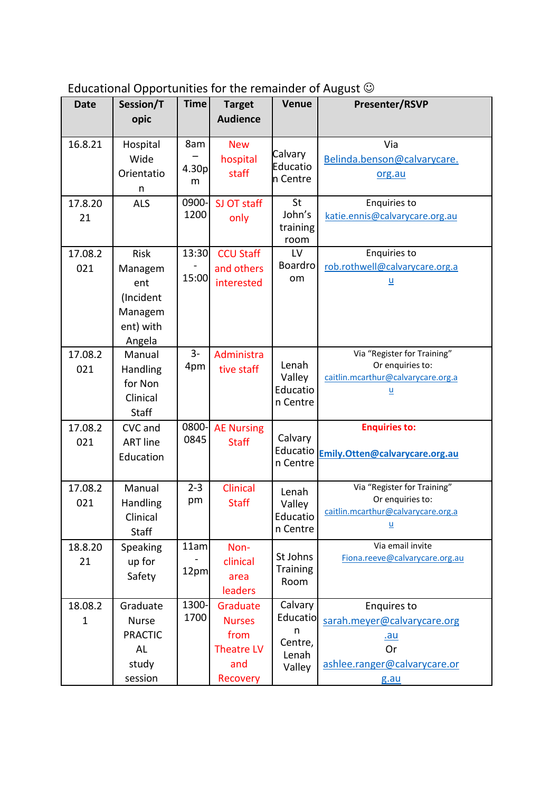Educational Opportunities for the remainder of August

| <b>Date</b>            | Session/T<br>opic                                                     | Time              | <b>Target</b><br><b>Audience</b>                                          | <b>Venue</b>                                            | Presenter/RSVP                                                                                                |
|------------------------|-----------------------------------------------------------------------|-------------------|---------------------------------------------------------------------------|---------------------------------------------------------|---------------------------------------------------------------------------------------------------------------|
|                        |                                                                       |                   |                                                                           |                                                         |                                                                                                               |
| 16.8.21                | Hospital<br>Wide<br>Orientatio<br>n                                   | 8am<br>4.30p<br>m | <b>New</b><br>hospital<br>staff                                           | Calvary<br>Educatio<br>n Centre                         | Via<br>Belinda.benson@calvarycare.<br>org.au                                                                  |
| 17.8.20<br>21          | <b>ALS</b>                                                            | 0900-<br>1200     | SJ OT staff<br>only                                                       | <b>St</b><br>John's<br>training<br>room                 | <b>Enquiries to</b><br>katie.ennis@calvarycare.org.au                                                         |
| 17.08.2<br>021         | Risk<br>Managem<br>ent<br>(Incident<br>Managem<br>ent) with<br>Angela | 13:30<br>15:00    | <b>CCU Staff</b><br>and others<br>interested                              | LV<br>Boardro<br>om                                     | <b>Enquiries to</b><br>rob.rothwell@calvarycare.org.a<br>$\underline{u}$                                      |
| 17.08.2<br>021         | Manual<br>Handling<br>for Non<br>Clinical<br>Staff                    | $3-$<br>4pm       | Administra<br>tive staff                                                  | Lenah<br>Valley<br>Educatio<br>n Centre                 | Via "Register for Training"<br>Or enquiries to:<br>caitlin.mcarthur@calvarycare.org.a<br><u>u</u>             |
| 17.08.2<br>021         | CVC and<br><b>ART line</b><br>Education                               | 0800-<br>0845     | <b>AE Nursing</b><br><b>Staff</b>                                         | Calvary<br>Educatio<br>n Centre                         | <b>Enquiries to:</b><br>Emily.Otten@calvarycare.org.au                                                        |
| 17.08.2<br>021         | Manual<br>Handling<br>Clinical<br><b>Staff</b>                        | $2 - 3$<br>pm     | Clinical<br><b>Staff</b>                                                  | Lenah<br>Valley<br>Educatio<br>n Centre                 | Via "Register for Training"<br>Or enquiries to:<br>caitlin.mcarthur@calvarycare.org.a<br>$\underline{u}$      |
| 18.8.20<br>21          | Speaking<br>up for<br>Safety                                          | 11am<br>12pm      | Non-<br>clinical<br>area<br>leaders                                       | St Johns<br><b>Training</b><br>Room                     | Via email invite<br>Fiona.reeve@calvarycare.org.au                                                            |
| 18.08.2<br>$\mathbf 1$ | Graduate<br><b>Nurse</b><br><b>PRACTIC</b><br>AL<br>study<br>session  | 1300-<br>1700     | Graduate<br><b>Nurses</b><br>from<br><b>Theatre LV</b><br>and<br>Recovery | Calvary<br>Educatiol<br>n<br>Centre,<br>Lenah<br>Valley | <b>Enquires to</b><br>sarah.meyer@calvarycare.org<br><u>.au</u><br>Or<br>ashlee.ranger@calvarycare.or<br>g.au |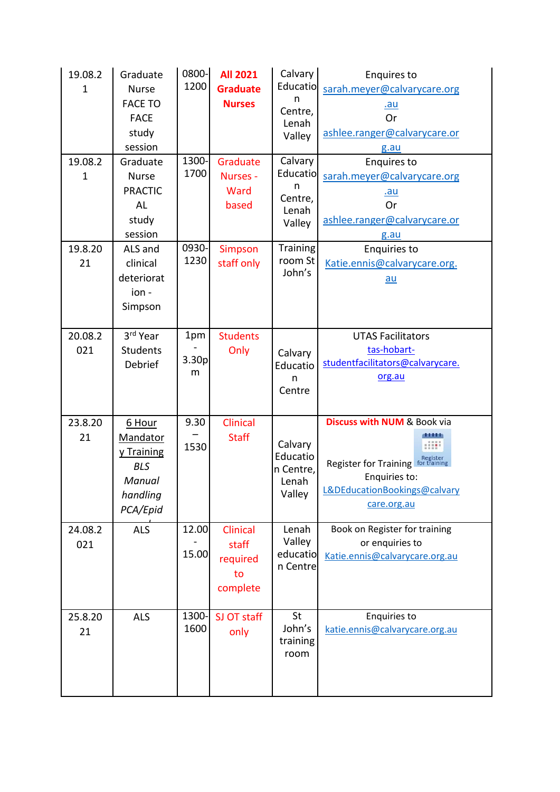| 19.08.2<br>$\mathbf{1}$<br>19.08.2<br>$\mathbf{1}$ | Graduate<br><b>Nurse</b><br><b>FACE TO</b><br><b>FACE</b><br>study<br>session<br>Graduate<br><b>Nurse</b><br><b>PRACTIC</b><br>AL<br>study<br>session | 0800-<br>1200<br>1300-<br>1700 | <b>All 2021</b><br><b>Graduate</b><br><b>Nurses</b><br>Graduate<br>Nurses -<br>Ward<br>based | Calvary<br>Educatio<br>n<br>Centre,<br>Lenah<br>Valley<br>Calvary<br>Educatio<br>n<br>Centre,<br>Lenah<br>Valley | <b>Enquires to</b><br>sarah.meyer@calvarycare.org<br><u>.au</u><br>Or<br>ashlee.ranger@calvarycare.or<br>g.au<br><b>Enquires to</b><br>sarah.meyer@calvarycare.org<br><u>.au</u><br>Or<br>ashlee.ranger@calvarycare.or<br>g.au |
|----------------------------------------------------|-------------------------------------------------------------------------------------------------------------------------------------------------------|--------------------------------|----------------------------------------------------------------------------------------------|------------------------------------------------------------------------------------------------------------------|--------------------------------------------------------------------------------------------------------------------------------------------------------------------------------------------------------------------------------|
| 19.8.20<br>21                                      | ALS and<br>clinical<br>deteriorat<br>ion -<br>Simpson                                                                                                 | 0930-<br>1230                  | <b>Simpson</b><br>staff only                                                                 | <b>Training</b><br>room St<br>John's                                                                             | <b>Enquiries to</b><br>Katie.ennis@calvarycare.org.<br>au                                                                                                                                                                      |
| 20.08.2<br>021                                     | 3rd Year<br><b>Students</b><br>Debrief                                                                                                                | 1pm<br>3.30 <sub>p</sub><br>m  | <b>Students</b><br>Only                                                                      | Calvary<br>Educatio<br>n<br>Centre                                                                               | <b>UTAS Facilitators</b><br>tas-hobart-<br>studentfacilitators@calvarycare.<br>org.au                                                                                                                                          |
| 23.8.20<br>21                                      | 6 Hour<br><b>Mandator</b><br>y Training<br><b>BLS</b><br>Manual<br>handling<br>PCA/Epid                                                               | 9.30<br>1530                   | Clinical<br><b>Staff</b>                                                                     | Calvary<br>Educatio<br>n Centre,<br>Lenah<br>Valley                                                              | <b>Discuss with NUM &amp; Book via</b><br>Register for Training for training<br>Enquiries to:<br>L&DEducationBookings@calvary<br>care.org.au                                                                                   |
| 24.08.2<br>021                                     | <b>ALS</b>                                                                                                                                            | 12.00<br>15.00                 | Clinical<br>staff<br>required<br>to<br>complete                                              | Lenah<br>Valley<br>educatio<br>n Centre                                                                          | Book on Register for training<br>or enquiries to<br>Katie.ennis@calvarycare.org.au                                                                                                                                             |
| 25.8.20<br>21                                      | <b>ALS</b>                                                                                                                                            | 1300-<br>1600                  | SJ OT staff<br>only                                                                          | St<br>John's<br>training<br>room                                                                                 | Enquiries to<br>katie.ennis@calvarycare.org.au                                                                                                                                                                                 |